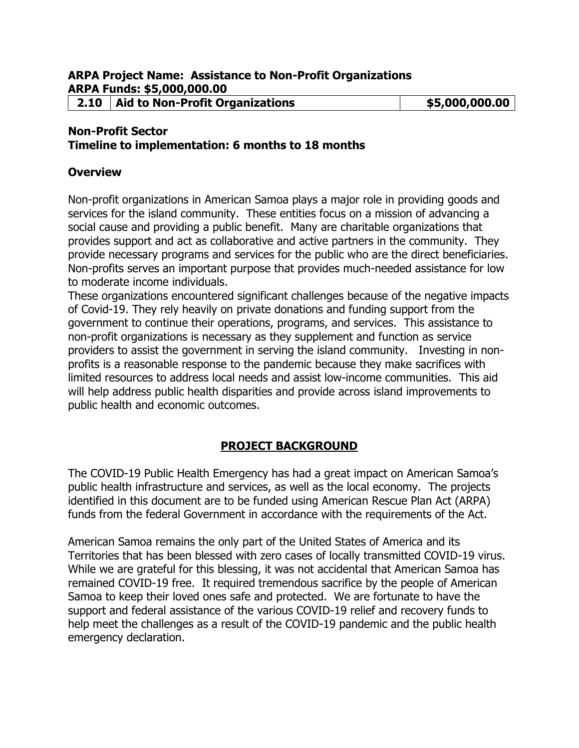### **Non-Profit Sector**

#### **Timeline to implementation: 6 months to 18 months**

#### **Overview**

Non-profit organizations in American Samoa plays a major role in providing goods and services for the island community. These entities focus on a mission of advancing a social cause and providing a public benefit. Many are charitable organizations that provides support and act as collaborative and active partners in the community. They provide necessary programs and services for the public who are the direct beneficiaries. Non-profits serves an important purpose that provides much-needed assistance for low to moderate income individuals.

These organizations encountered significant challenges because of the negative impacts of Covid-19. They rely heavily on private donations and funding support from the government to continue their operations, programs, and services. This assistance to non-profit organizations is necessary as they supplement and function as service providers to assist the government in serving the island community. Investing in nonprofits is a reasonable response to the pandemic because they make sacrifices with limited resources to address local needs and assist low-income communities. This aid will help address public health disparities and provide across island improvements to public health and economic outcomes.

### **PROJECT BACKGROUND**

The COVID-19 Public Health Emergency has had a great impact on American Samoa's public health infrastructure and services, as well as the local economy. The projects identified in this document are to be funded using American Rescue Plan Act (ARPA) funds from the federal Government in accordance with the requirements of the Act.

American Samoa remains the only part of the United States of America and its Territories that has been blessed with zero cases of locally transmitted COVID-19 virus. While we are grateful for this blessing, it was not accidental that American Samoa has remained COVID-19 free. It required tremendous sacrifice by the people of American Samoa to keep their loved ones safe and protected. We are fortunate to have the support and federal assistance of the various COVID-19 relief and recovery funds to help meet the challenges as a result of the COVID-19 pandemic and the public health emergency declaration.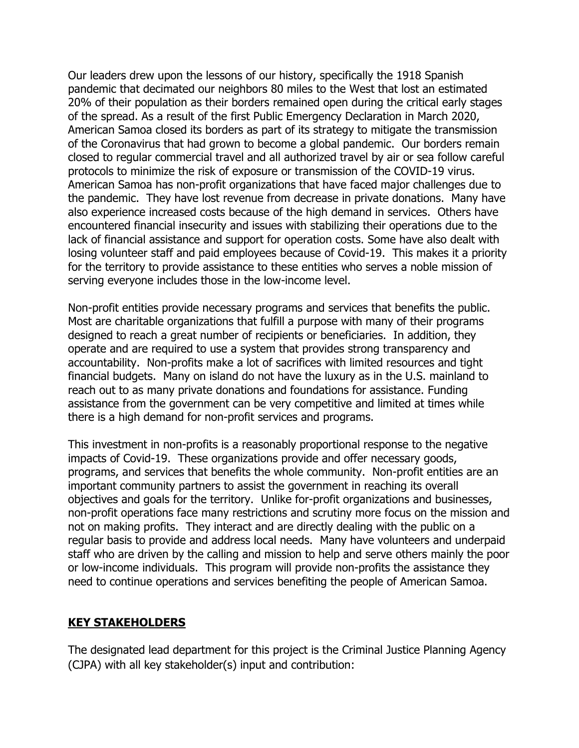Our leaders drew upon the lessons of our history, specifically the 1918 Spanish pandemic that decimated our neighbors 80 miles to the West that lost an estimated 20% of their population as their borders remained open during the critical early stages of the spread. As a result of the first Public Emergency Declaration in March 2020, American Samoa closed its borders as part of its strategy to mitigate the transmission of the Coronavirus that had grown to become a global pandemic. Our borders remain closed to regular commercial travel and all authorized travel by air or sea follow careful protocols to minimize the risk of exposure or transmission of the COVID-19 virus. American Samoa has non-profit organizations that have faced major challenges due to the pandemic. They have lost revenue from decrease in private donations. Many have also experience increased costs because of the high demand in services. Others have encountered financial insecurity and issues with stabilizing their operations due to the lack of financial assistance and support for operation costs. Some have also dealt with losing volunteer staff and paid employees because of Covid-19. This makes it a priority for the territory to provide assistance to these entities who serves a noble mission of serving everyone includes those in the low-income level.

Non-profit entities provide necessary programs and services that benefits the public. Most are charitable organizations that fulfill a purpose with many of their programs designed to reach a great number of recipients or beneficiaries. In addition, they operate and are required to use a system that provides strong transparency and accountability. Non-profits make a lot of sacrifices with limited resources and tight financial budgets. Many on island do not have the luxury as in the U.S. mainland to reach out to as many private donations and foundations for assistance. Funding assistance from the government can be very competitive and limited at times while there is a high demand for non-profit services and programs.

This investment in non-profits is a reasonably proportional response to the negative impacts of Covid-19. These organizations provide and offer necessary goods, programs, and services that benefits the whole community. Non-profit entities are an important community partners to assist the government in reaching its overall objectives and goals for the territory. Unlike for-profit organizations and businesses, non-profit operations face many restrictions and scrutiny more focus on the mission and not on making profits. They interact and are directly dealing with the public on a regular basis to provide and address local needs. Many have volunteers and underpaid staff who are driven by the calling and mission to help and serve others mainly the poor or low-income individuals. This program will provide non-profits the assistance they need to continue operations and services benefiting the people of American Samoa.

### **KEY STAKEHOLDERS**

The designated lead department for this project is the Criminal Justice Planning Agency (CJPA) with all key stakeholder(s) input and contribution: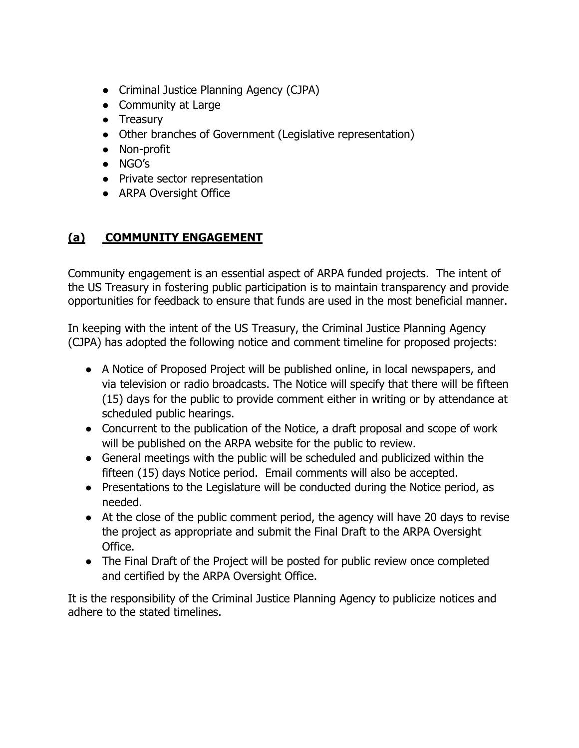- Criminal Justice Planning Agency (CJPA)
- Community at Large
- Treasury
- Other branches of Government (Legislative representation)
- Non-profit
- NGO's
- Private sector representation
- ARPA Oversight Office

# **(a) COMMUNITY ENGAGEMENT**

Community engagement is an essential aspect of ARPA funded projects. The intent of the US Treasury in fostering public participation is to maintain transparency and provide opportunities for feedback to ensure that funds are used in the most beneficial manner.

In keeping with the intent of the US Treasury, the Criminal Justice Planning Agency (CJPA) has adopted the following notice and comment timeline for proposed projects:

- A Notice of Proposed Project will be published online, in local newspapers, and via television or radio broadcasts. The Notice will specify that there will be fifteen (15) days for the public to provide comment either in writing or by attendance at scheduled public hearings.
- Concurrent to the publication of the Notice, a draft proposal and scope of work will be published on the ARPA website for the public to review.
- General meetings with the public will be scheduled and publicized within the fifteen (15) days Notice period. Email comments will also be accepted.
- Presentations to the Legislature will be conducted during the Notice period, as needed.
- At the close of the public comment period, the agency will have 20 days to revise the project as appropriate and submit the Final Draft to the ARPA Oversight Office.
- The Final Draft of the Project will be posted for public review once completed and certified by the ARPA Oversight Office.

It is the responsibility of the Criminal Justice Planning Agency to publicize notices and adhere to the stated timelines.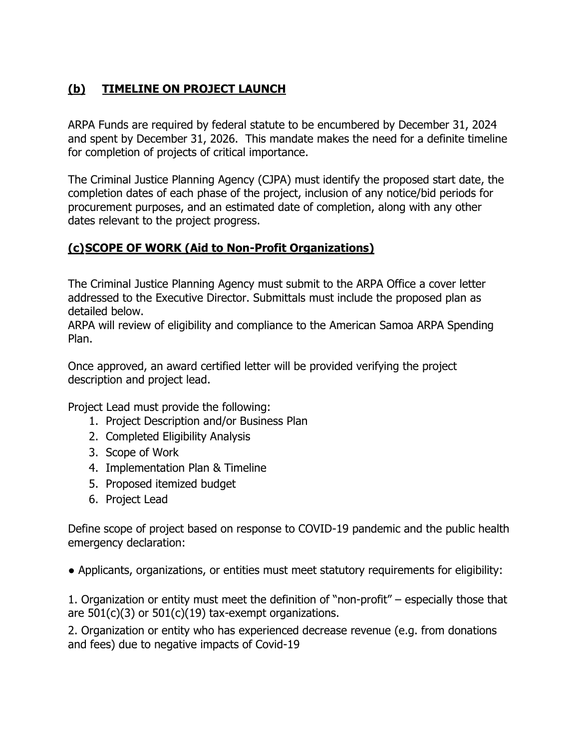# **(b) TIMELINE ON PROJECT LAUNCH**

ARPA Funds are required by federal statute to be encumbered by December 31, 2024 and spent by December 31, 2026. This mandate makes the need for a definite timeline for completion of projects of critical importance.

The Criminal Justice Planning Agency (CJPA) must identify the proposed start date, the completion dates of each phase of the project, inclusion of any notice/bid periods for procurement purposes, and an estimated date of completion, along with any other dates relevant to the project progress.

## **(c)SCOPE OF WORK (Aid to Non-Profit Organizations)**

The Criminal Justice Planning Agency must submit to the ARPA Office a cover letter addressed to the Executive Director. Submittals must include the proposed plan as detailed below.

ARPA will review of eligibility and compliance to the American Samoa ARPA Spending Plan.

Once approved, an award certified letter will be provided verifying the project description and project lead.

Project Lead must provide the following:

- 1. Project Description and/or Business Plan
- 2. Completed Eligibility Analysis
- 3. Scope of Work
- 4. Implementation Plan & Timeline
- 5. Proposed itemized budget
- 6. Project Lead

Define scope of project based on response to COVID-19 pandemic and the public health emergency declaration:

● Applicants, organizations, or entities must meet statutory requirements for eligibility:

1. Organization or entity must meet the definition of "non-profit" – especially those that are 501(c)(3) or 501(c)(19) tax-exempt organizations.

2. Organization or entity who has experienced decrease revenue (e.g. from donations and fees) due to negative impacts of Covid-19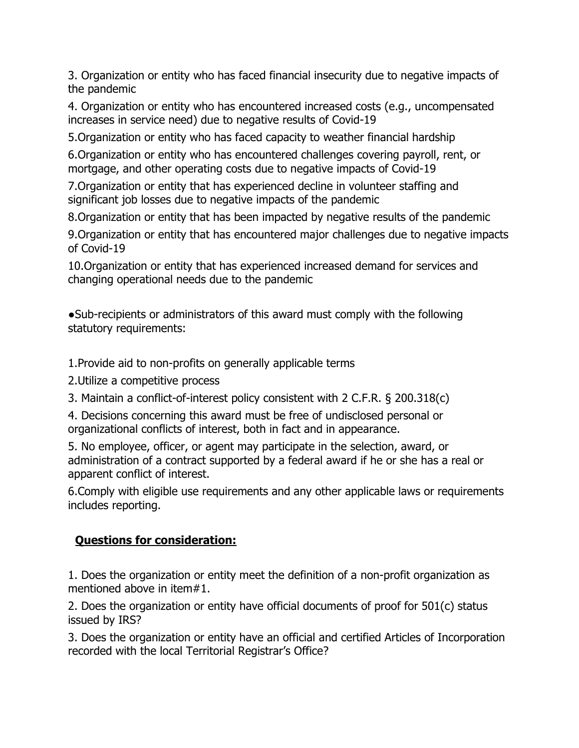3. Organization or entity who has faced financial insecurity due to negative impacts of the pandemic

4. Organization or entity who has encountered increased costs (e.g., uncompensated increases in service need) due to negative results of Covid-19

5.Organization or entity who has faced capacity to weather financial hardship

6.Organization or entity who has encountered challenges covering payroll, rent, or mortgage, and other operating costs due to negative impacts of Covid-19

7.Organization or entity that has experienced decline in volunteer staffing and significant job losses due to negative impacts of the pandemic

8.Organization or entity that has been impacted by negative results of the pandemic

9.Organization or entity that has encountered major challenges due to negative impacts of Covid-19

10.Organization or entity that has experienced increased demand for services and changing operational needs due to the pandemic

●Sub-recipients or administrators of this award must comply with the following statutory requirements:

1.Provide aid to non-profits on generally applicable terms

2.Utilize a competitive process

3. Maintain a conflict-of-interest policy consistent with 2 C.F.R. § 200.318(c)

4. Decisions concerning this award must be free of undisclosed personal or organizational conflicts of interest, both in fact and in appearance.

5. No employee, officer, or agent may participate in the selection, award, or administration of a contract supported by a federal award if he or she has a real or apparent conflict of interest.

6.Comply with eligible use requirements and any other applicable laws or requirements includes reporting.

# **Questions for consideration:**

1. Does the organization or entity meet the definition of a non-profit organization as mentioned above in item#1.

2. Does the organization or entity have official documents of proof for 501(c) status issued by IRS?

3. Does the organization or entity have an official and certified Articles of Incorporation recorded with the local Territorial Registrar's Office?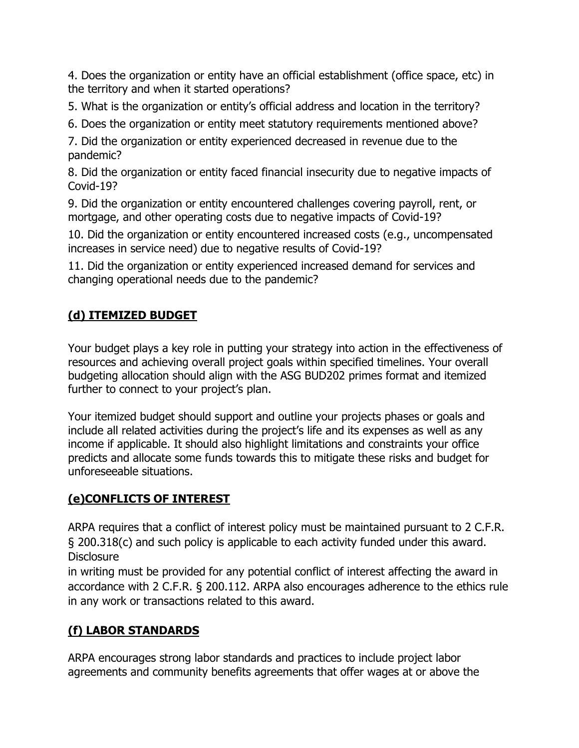4. Does the organization or entity have an official establishment (office space, etc) in the territory and when it started operations?

5. What is the organization or entity's official address and location in the territory?

6. Does the organization or entity meet statutory requirements mentioned above?

7. Did the organization or entity experienced decreased in revenue due to the pandemic?

8. Did the organization or entity faced financial insecurity due to negative impacts of Covid-19?

9. Did the organization or entity encountered challenges covering payroll, rent, or mortgage, and other operating costs due to negative impacts of Covid-19?

10. Did the organization or entity encountered increased costs (e.g., uncompensated increases in service need) due to negative results of Covid-19?

11. Did the organization or entity experienced increased demand for services and changing operational needs due to the pandemic?

# **(d) ITEMIZED BUDGET**

Your budget plays a key role in putting your strategy into action in the effectiveness of resources and achieving overall project goals within specified timelines. Your overall budgeting allocation should align with the ASG BUD202 primes format and itemized further to connect to your project's plan.

Your itemized budget should support and outline your projects phases or goals and include all related activities during the project's life and its expenses as well as any income if applicable. It should also highlight limitations and constraints your office predicts and allocate some funds towards this to mitigate these risks and budget for unforeseeable situations.

# **(e)CONFLICTS OF INTEREST**

ARPA requires that a conflict of interest policy must be maintained pursuant to 2 C.F.R. § 200.318(c) and such policy is applicable to each activity funded under this award. **Disclosure** 

in writing must be provided for any potential conflict of interest affecting the award in accordance with 2 C.F.R. § 200.112. ARPA also encourages adherence to the ethics rule in any work or transactions related to this award.

# **(f) LABOR STANDARDS**

ARPA encourages strong labor standards and practices to include project labor agreements and community benefits agreements that offer wages at or above the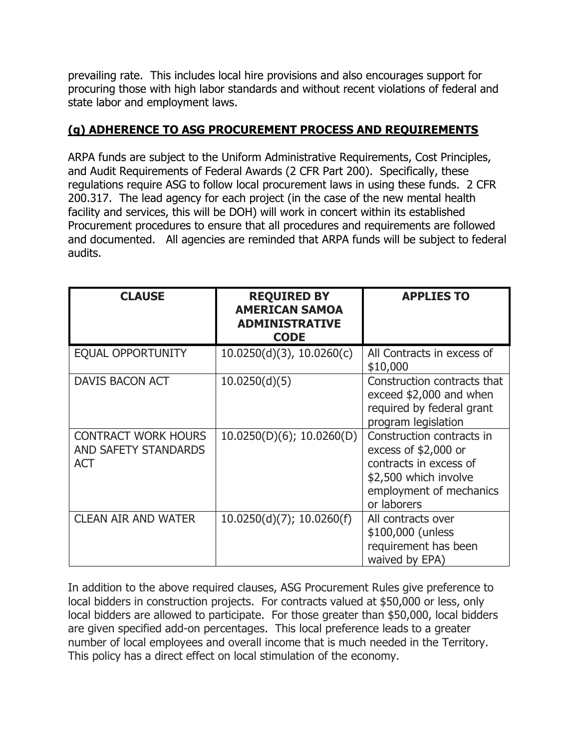prevailing rate. This includes local hire provisions and also encourages support for procuring those with high labor standards and without recent violations of federal and state labor and employment laws.

### **(g) ADHERENCE TO ASG PROCUREMENT PROCESS AND REQUIREMENTS**

ARPA funds are subject to the Uniform Administrative Requirements, Cost Principles, and Audit Requirements of Federal Awards (2 CFR Part 200). Specifically, these regulations require ASG to follow local procurement laws in using these funds. 2 CFR 200.317. The lead agency for each project (in the case of the new mental health facility and services, this will be DOH) will work in concert within its established Procurement procedures to ensure that all procedures and requirements are followed and documented. All agencies are reminded that ARPA funds will be subject to federal audits.

| <b>CLAUSE</b>                                                           | <b>REQUIRED BY</b><br><b>AMERICAN SAMOA</b><br><b>ADMINISTRATIVE</b><br><b>CODE</b> | <b>APPLIES TO</b>                                                                                                                              |
|-------------------------------------------------------------------------|-------------------------------------------------------------------------------------|------------------------------------------------------------------------------------------------------------------------------------------------|
| EQUAL OPPORTUNITY                                                       | $10.0250(d)(3)$ , $10.0260(c)$                                                      | All Contracts in excess of<br>\$10,000                                                                                                         |
| DAVIS BACON ACT                                                         | 10.0250(d)(5)                                                                       | Construction contracts that<br>exceed \$2,000 and when<br>required by federal grant<br>program legislation                                     |
| <b>CONTRACT WORK HOURS</b><br><b>AND SAFETY STANDARDS</b><br><b>ACT</b> | 10.0250(D)(6); 10.0260(D)                                                           | Construction contracts in<br>excess of \$2,000 or<br>contracts in excess of<br>\$2,500 which involve<br>employment of mechanics<br>or laborers |
| <b>CLEAN AIR AND WATER</b>                                              | $10.0250(d)(7)$ ; 10.0260(f)                                                        | All contracts over<br>\$100,000 (unless<br>requirement has been<br>waived by EPA)                                                              |

In addition to the above required clauses, ASG Procurement Rules give preference to local bidders in construction projects. For contracts valued at \$50,000 or less, only local bidders are allowed to participate. For those greater than \$50,000, local bidders are given specified add-on percentages. This local preference leads to a greater number of local employees and overall income that is much needed in the Territory. This policy has a direct effect on local stimulation of the economy.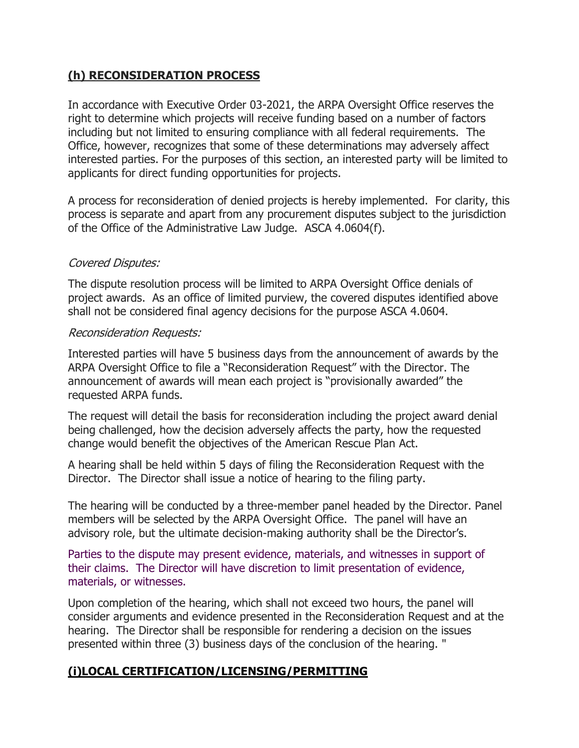### **(h) RECONSIDERATION PROCESS**

In accordance with Executive Order 03-2021, the ARPA Oversight Office reserves the right to determine which projects will receive funding based on a number of factors including but not limited to ensuring compliance with all federal requirements. The Office, however, recognizes that some of these determinations may adversely affect interested parties. For the purposes of this section, an interested party will be limited to applicants for direct funding opportunities for projects.

A process for reconsideration of denied projects is hereby implemented. For clarity, this process is separate and apart from any procurement disputes subject to the jurisdiction of the Office of the Administrative Law Judge. ASCA 4.0604(f).

### Covered Disputes:

The dispute resolution process will be limited to ARPA Oversight Office denials of project awards. As an office of limited purview, the covered disputes identified above shall not be considered final agency decisions for the purpose ASCA 4.0604.

### Reconsideration Requests:

Interested parties will have 5 business days from the announcement of awards by the ARPA Oversight Office to file a "Reconsideration Request" with the Director. The announcement of awards will mean each project is "provisionally awarded" the requested ARPA funds.

The request will detail the basis for reconsideration including the project award denial being challenged, how the decision adversely affects the party, how the requested change would benefit the objectives of the American Rescue Plan Act.

A hearing shall be held within 5 days of filing the Reconsideration Request with the Director. The Director shall issue a notice of hearing to the filing party.

The hearing will be conducted by a three-member panel headed by the Director. Panel members will be selected by the ARPA Oversight Office. The panel will have an advisory role, but the ultimate decision-making authority shall be the Director's.

Parties to the dispute may present evidence, materials, and witnesses in support of their claims. The Director will have discretion to limit presentation of evidence, materials, or witnesses.

Upon completion of the hearing, which shall not exceed two hours, the panel will consider arguments and evidence presented in the Reconsideration Request and at the hearing. The Director shall be responsible for rendering a decision on the issues presented within three (3) business days of the conclusion of the hearing. "

## **(i)LOCAL CERTIFICATION/LICENSING/PERMITTING**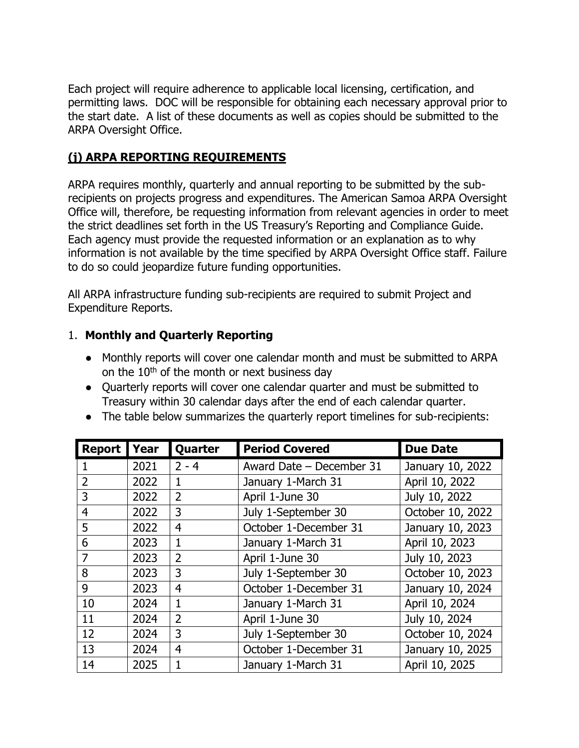Each project will require adherence to applicable local licensing, certification, and permitting laws. DOC will be responsible for obtaining each necessary approval prior to the start date. A list of these documents as well as copies should be submitted to the ARPA Oversight Office.

## **(j) ARPA REPORTING REQUIREMENTS**

ARPA requires monthly, quarterly and annual reporting to be submitted by the subrecipients on projects progress and expenditures. The American Samoa ARPA Oversight Office will, therefore, be requesting information from relevant agencies in order to meet the strict deadlines set forth in the US Treasury's Reporting and Compliance Guide. Each agency must provide the requested information or an explanation as to why information is not available by the time specified by ARPA Oversight Office staff. Failure to do so could jeopardize future funding opportunities.

All ARPA infrastructure funding sub-recipients are required to submit Project and Expenditure Reports.

### 1. **Monthly and Quarterly Reporting**

- Monthly reports will cover one calendar month and must be submitted to ARPA on the  $10<sup>th</sup>$  of the month or next business day
- Quarterly reports will cover one calendar quarter and must be submitted to Treasury within 30 calendar days after the end of each calendar quarter.
- The table below summarizes the quarterly report timelines for sub-recipients:

| <b>Report</b>  | Year | Quarter        | <b>Period Covered</b>    | <b>Due Date</b>  |
|----------------|------|----------------|--------------------------|------------------|
|                | 2021 | $2 - 4$        | Award Date - December 31 | January 10, 2022 |
| $\overline{2}$ | 2022 | $\mathbf{1}$   | January 1-March 31       | April 10, 2022   |
| 3              | 2022 | $\overline{2}$ | April 1-June 30          | July 10, 2022    |
| $\overline{4}$ | 2022 | 3              | July 1-September 30      | October 10, 2022 |
| 5              | 2022 | $\overline{4}$ | October 1-December 31    | January 10, 2023 |
| 6              | 2023 | $\mathbf{1}$   | January 1-March 31       | April 10, 2023   |
| 7              | 2023 | $\overline{2}$ | April 1-June 30          | July 10, 2023    |
| 8              | 2023 | 3              | July 1-September 30      | October 10, 2023 |
| 9              | 2023 | $\overline{4}$ | October 1-December 31    | January 10, 2024 |
| 10             | 2024 | $\mathbf{1}$   | January 1-March 31       | April 10, 2024   |
| 11             | 2024 | $\overline{2}$ | April 1-June 30          | July 10, 2024    |
| 12             | 2024 | 3              | July 1-September 30      | October 10, 2024 |
| 13             | 2024 | $\overline{4}$ | October 1-December 31    | January 10, 2025 |
| 14             | 2025 | 1              | January 1-March 31       | April 10, 2025   |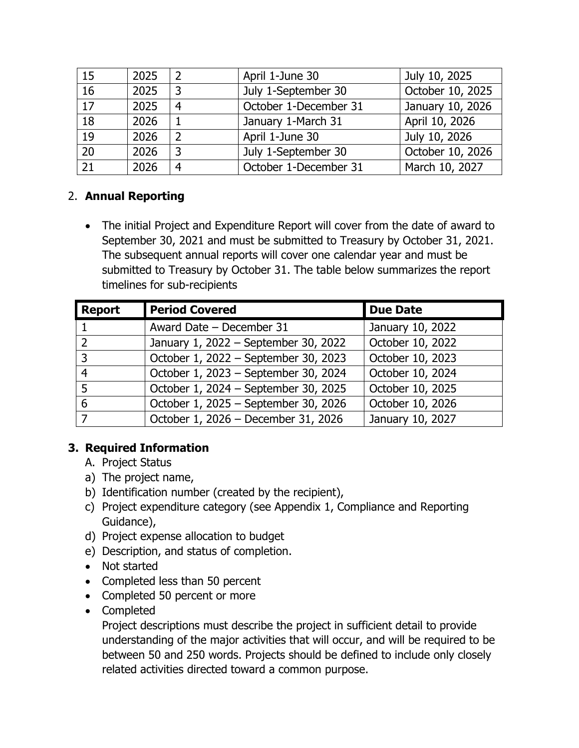| 15              | 2025 | 2 | April 1-June 30       | July 10, 2025    |
|-----------------|------|---|-----------------------|------------------|
| 16              | 2025 | 3 | July 1-September 30   | October 10, 2025 |
| $\overline{17}$ | 2025 | 4 | October 1-December 31 | January 10, 2026 |
| 18              | 2026 |   | January 1-March 31    | April 10, 2026   |
| $\overline{19}$ | 2026 | 2 | April 1-June 30       | July 10, 2026    |
| 20              | 2026 | 3 | July 1-September 30   | October 10, 2026 |
| 21              | 2026 | 4 | October 1-December 31 | March 10, 2027   |

# 2. **Annual Reporting**

• The initial Project and Expenditure Report will cover from the date of award to September 30, 2021 and must be submitted to Treasury by October 31, 2021. The subsequent annual reports will cover one calendar year and must be submitted to Treasury by October 31. The table below summarizes the report timelines for sub-recipients

| <b>Report</b>            | <b>Period Covered</b>                | <b>Due Date</b>  |
|--------------------------|--------------------------------------|------------------|
|                          | Award Date - December 31             | January 10, 2022 |
| $\overline{2}$           | January 1, 2022 - September 30, 2022 | October 10, 2022 |
| 3                        | October 1, 2022 - September 30, 2023 | October 10, 2023 |
| 4                        | October 1, 2023 - September 30, 2024 | October 10, 2024 |
| 5                        | October 1, 2024 - September 30, 2025 | October 10, 2025 |
| 6                        | October 1, 2025 - September 30, 2026 | October 10, 2026 |
| $\overline{\phantom{a}}$ | October 1, 2026 - December 31, 2026  | January 10, 2027 |

## **3. Required Information**

- A. Project Status
- a) The project name,
- b) Identification number (created by the recipient),
- c) Project expenditure category (see Appendix 1, Compliance and Reporting Guidance),
- d) Project expense allocation to budget
- e) Description, and status of completion.
- Not started
- Completed less than 50 percent
- Completed 50 percent or more
- Completed

Project descriptions must describe the project in sufficient detail to provide understanding of the major activities that will occur, and will be required to be between 50 and 250 words. Projects should be defined to include only closely related activities directed toward a common purpose.